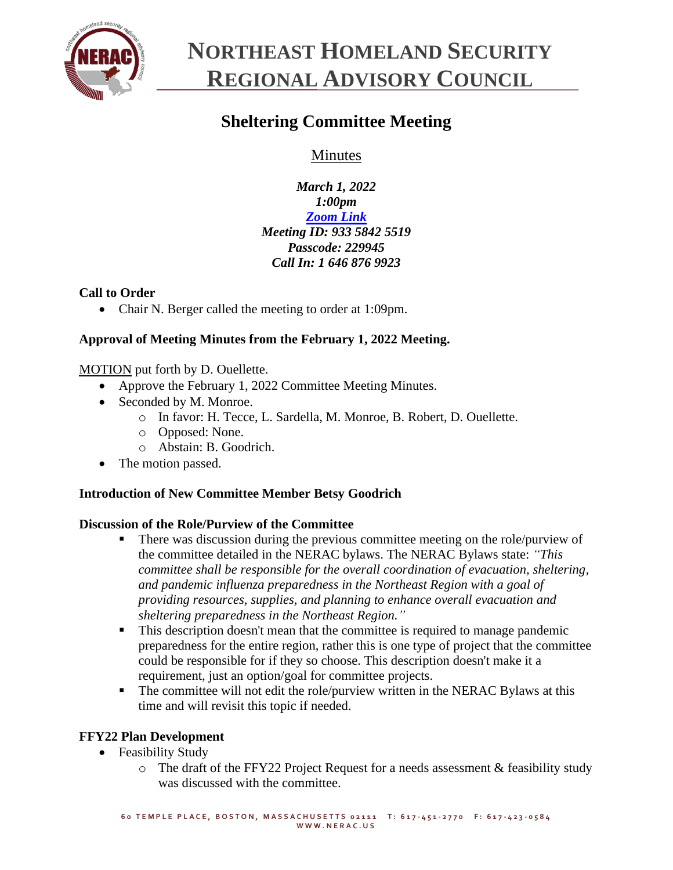

# **NORTHEAST HOMELAND SECURITY REGIONAL ADVISORY COUNCIL**

## **Sheltering Committee Meeting**

Minutes

*March 1, 2022 1:00pm [Zoom Link](https://zoom.us/j/93358425519?pwd=Z1JaK3VLRXFkR2t3M2dNZUs5Y0tBUT09) Meeting ID: 933 5842 5519 Passcode: 229945 Call In: 1 646 876 9923*

### **Call to Order**

• Chair N. Berger called the meeting to order at 1:09pm.

### **Approval of Meeting Minutes from the February 1, 2022 Meeting.**

MOTION put forth by D. Ouellette.

- Approve the February 1, 2022 Committee Meeting Minutes.
- Seconded by M. Monroe.
	- o In favor: H. Tecce, L. Sardella, M. Monroe, B. Robert, D. Ouellette.
	- o Opposed: None.
	- o Abstain: B. Goodrich.
- The motion passed.

### **Introduction of New Committee Member Betsy Goodrich**

#### **Discussion of the Role/Purview of the Committee**

- There was discussion during the previous committee meeting on the role/purview of the committee detailed in the NERAC bylaws. The NERAC Bylaws state: *"This committee shall be responsible for the overall coordination of evacuation, sheltering, and pandemic influenza preparedness in the Northeast Region with a goal of providing resources, supplies, and planning to enhance overall evacuation and sheltering preparedness in the Northeast Region."*
- This description doesn't mean that the committee is required to manage pandemic preparedness for the entire region, rather this is one type of project that the committee could be responsible for if they so choose. This description doesn't make it a requirement, just an option/goal for committee projects.
- **•** The committee will not edit the role/purview written in the NERAC Bylaws at this time and will revisit this topic if needed.

### **FFY22 Plan Development**

- Feasibility Study
	- o The draft of the FFY22 Project Request for a needs assessment & feasibility study was discussed with the committee.